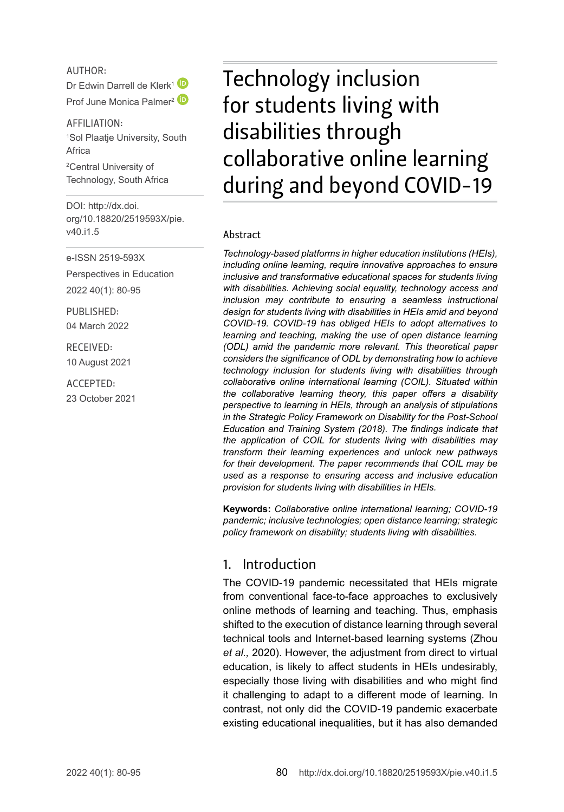#### AUTHOR:

Dr Edwin Darrell de Klerk<sup>[1](http://orcid.org/0000-0003-0218-5371)</sup> Prof June Monica Palmer<sup>[2](http://orcid.org/0000-0001-7706-879X)</sup><sup>(D</sup>

AFFILIATION: 1 Sol Plaatje University, South Africa

2 Central University of Technology, South Africa

DOI: [http://dx.doi.](http://dx.doi.org/10.18820/2519593X/pie.v40.i1.5) [org/10.18820/2519593X/p](http://dx.doi.org/10.18820/2519593X/pie.v40.i1.5)ie. v40.i1.5

e-ISSN 2519-593X

Perspectives in Education 2022 40(1): 80-95

PUBLISHED: 04 March 2022

RECEIVED: 10 August 2021

ACCEPTED: 23 October 2021

# Technology inclusion for students living with disabilities through collaborative online learning during and beyond COVID-19

#### Abstract

*Technology-based platforms in higher education institutions (HEIs), including online learning, require innovative approaches to ensure inclusive and transformative educational spaces for students living with disabilities. Achieving social equality, technology access and inclusion may contribute to ensuring a seamless instructional design for students living with disabilities in HEIs amid and beyond COVID-19. COVID-19 has obliged HEIs to adopt alternatives to learning and teaching, making the use of open distance learning (ODL) amid the pandemic more relevant. This theoretical paper considers the significance of ODL by demonstrating how to achieve technology inclusion for students living with disabilities through collaborative online international learning (COIL). Situated within the collaborative learning theory, this paper offers a disability perspective to learning in HEIs, through an analysis of stipulations in the Strategic Policy Framework on Disability for the Post-School Education and Training System (2018). The findings indicate that the application of COIL for students living with disabilities may transform their learning experiences and unlock new pathways for their development. The paper recommends that COIL may be used as a response to ensuring access and inclusive education provision for students living with disabilities in HEIs.*

**Keywords:** *Collaborative online international learning; COVID-19 pandemic; inclusive technologies; open distance learning; strategic policy framework on disability; students living with disabilities.* 

#### 1. Introduction

The COVID-19 pandemic necessitated that HEIs migrate from conventional face-to-face approaches to exclusively online methods of learning and teaching. Thus, emphasis shifted to the execution of distance learning through several technical tools and Internet-based learning systems (Zhou *et al.,* 2020). However, the adjustment from direct to virtual education, is likely to affect students in HEIs undesirably, especially those living with disabilities and who might find it challenging to adapt to a different mode of learning. In contrast, not only did the COVID-19 pandemic exacerbate existing educational inequalities, but it has also demanded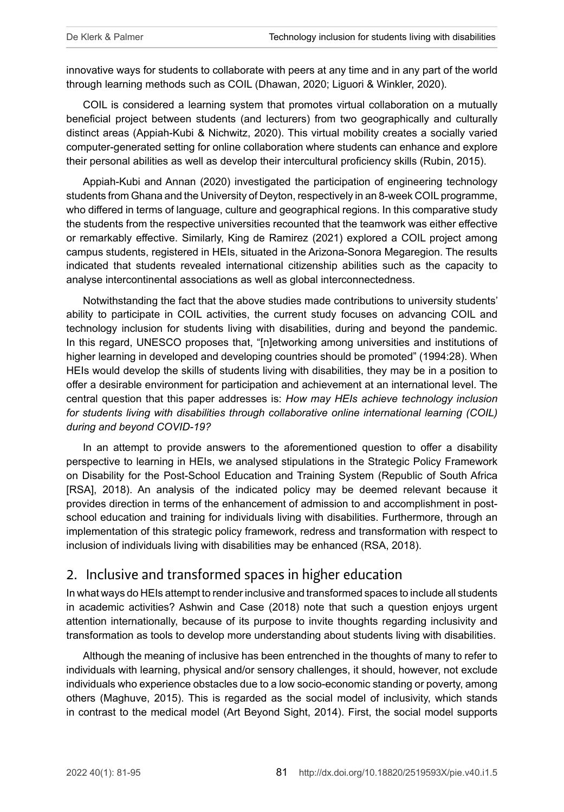innovative ways for students to collaborate with peers at any time and in any part of the world through learning methods such as COIL (Dhawan, 2020; Liguori & Winkler, 2020).

COIL is considered a learning system that promotes virtual collaboration on a mutually beneficial project between students (and lecturers) from two geographically and culturally distinct areas (Appiah-Kubi & Nichwitz, 2020). This virtual mobility creates a socially varied computer-generated setting for online collaboration where students can enhance and explore their personal abilities as well as develop their intercultural proficiency skills (Rubin, 2015).

Appiah-Kubi and Annan (2020) investigated the participation of engineering technology students from Ghana and the University of Deyton, respectively in an 8-week COIL programme, who differed in terms of language, culture and geographical regions. In this comparative study the students from the respective universities recounted that the teamwork was either effective or remarkably effective. Similarly, King de Ramirez (2021) explored a COIL project among campus students, registered in HEIs, situated in the Arizona-Sonora Megaregion. The results indicated that students revealed international citizenship abilities such as the capacity to analyse intercontinental associations as well as global interconnectedness.

Notwithstanding the fact that the above studies made contributions to university students' ability to participate in COIL activities, the current study focuses on advancing COIL and technology inclusion for students living with disabilities, during and beyond the pandemic. In this regard, UNESCO proposes that, "[n]etworking among universities and institutions of higher learning in developed and developing countries should be promoted" (1994:28). When HEIs would develop the skills of students living with disabilities, they may be in a position to offer a desirable environment for participation and achievement at an international level. The central question that this paper addresses is: *How may HEIs achieve technology inclusion for students living with disabilities through collaborative online international learning (COIL) during and beyond COVID-19?* 

In an attempt to provide answers to the aforementioned question to offer a disability perspective to learning in HEIs, we analysed stipulations in the Strategic Policy Framework on Disability for the Post-School Education and Training System (Republic of South Africa [RSA], 2018). An analysis of the indicated policy may be deemed relevant because it provides direction in terms of the enhancement of admission to and accomplishment in postschool education and training for individuals living with disabilities. Furthermore, through an implementation of this strategic policy framework, redress and transformation with respect to inclusion of individuals living with disabilities may be enhanced (RSA, 2018).

#### 2. Inclusive and transformed spaces in higher education

In what ways do HEIs attempt to render inclusive and transformed spaces to include all students in academic activities? Ashwin and Case (2018) note that such a question enjoys urgent attention internationally, because of its purpose to invite thoughts regarding inclusivity and transformation as tools to develop more understanding about students living with disabilities.

Although the meaning of inclusive has been entrenched in the thoughts of many to refer to individuals with learning, physical and/or sensory challenges, it should, however, not exclude individuals who experience obstacles due to a low socio-economic standing or poverty, among others (Maghuve, 2015). This is regarded as the social model of inclusivity, which stands in contrast to the medical model (Art Beyond Sight, 2014). First, the social model supports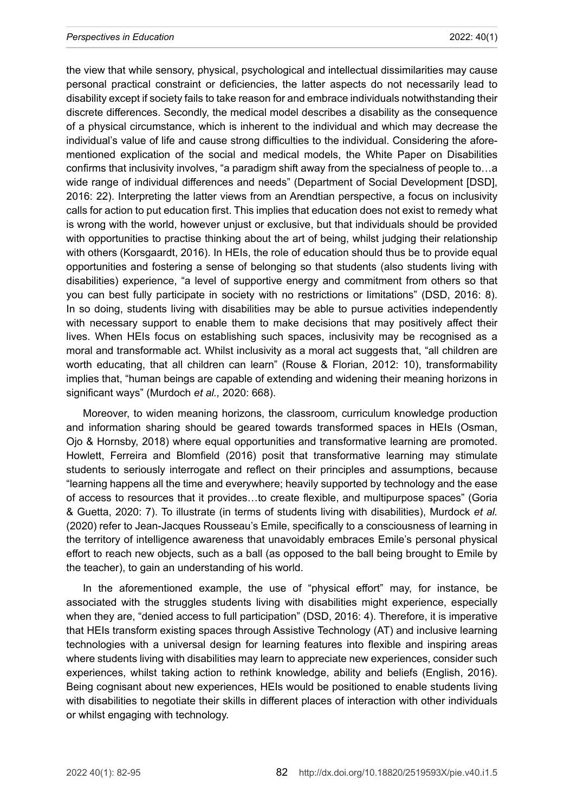the view that while sensory, physical, psychological and intellectual dissimilarities may cause personal practical constraint or deficiencies, the latter aspects do not necessarily lead to disability except if society fails to take reason for and embrace individuals notwithstanding their discrete differences. Secondly, the medical model describes a disability as the consequence of a physical circumstance, which is inherent to the individual and which may decrease the individual's value of life and cause strong difficulties to the individual. Considering the aforementioned explication of the social and medical models, the White Paper on Disabilities confirms that inclusivity involves, "a paradigm shift away from the specialness of people to…a wide range of individual differences and needs" (Department of Social Development [DSD], 2016: 22). Interpreting the latter views from an Arendtian perspective, a focus on inclusivity calls for action to put education first. This implies that education does not exist to remedy what is wrong with the world, however unjust or exclusive, but that individuals should be provided with opportunities to practise thinking about the art of being, whilst judging their relationship with others (Korsgaardt, 2016). In HEIs, the role of education should thus be to provide equal opportunities and fostering a sense of belonging so that students (also students living with disabilities) experience, "a level of supportive energy and commitment from others so that you can best fully participate in society with no restrictions or limitations" (DSD, 2016: 8). In so doing, students living with disabilities may be able to pursue activities independently with necessary support to enable them to make decisions that may positively affect their lives. When HEIs focus on establishing such spaces, inclusivity may be recognised as a moral and transformable act. Whilst inclusivity as a moral act suggests that, "all children are worth educating, that all children can learn" (Rouse & Florian, 2012: 10), transformability implies that, "human beings are capable of extending and widening their meaning horizons in significant ways" (Murdoch *et al.,* 2020: 668).

Moreover, to widen meaning horizons, the classroom, curriculum knowledge production and information sharing should be geared towards transformed spaces in HEIs (Osman, Ojo & Hornsby, 2018) where equal opportunities and transformative learning are promoted. Howlett, Ferreira and Blomfield (2016) posit that transformative learning may stimulate students to seriously interrogate and reflect on their principles and assumptions, because "learning happens all the time and everywhere; heavily supported by technology and the ease of access to resources that it provides…to create flexible, and multipurpose spaces" (Goria & Guetta, 2020: 7). To illustrate (in terms of students living with disabilities), Murdock *et al.*  (2020) refer to Jean-Jacques Rousseau's Emile, specifically to a consciousness of learning in the territory of intelligence awareness that unavoidably embraces Emile's personal physical effort to reach new objects, such as a ball (as opposed to the ball being brought to Emile by the teacher), to gain an understanding of his world.

In the aforementioned example, the use of "physical effort" may, for instance, be associated with the struggles students living with disabilities might experience, especially when they are, "denied access to full participation" (DSD, 2016: 4). Therefore, it is imperative that HEIs transform existing spaces through Assistive Technology (AT) and inclusive learning technologies with a universal design for learning features into flexible and inspiring areas where students living with disabilities may learn to appreciate new experiences, consider such experiences, whilst taking action to rethink knowledge, ability and beliefs (English, 2016). Being cognisant about new experiences, HEIs would be positioned to enable students living with disabilities to negotiate their skills in different places of interaction with other individuals or whilst engaging with technology.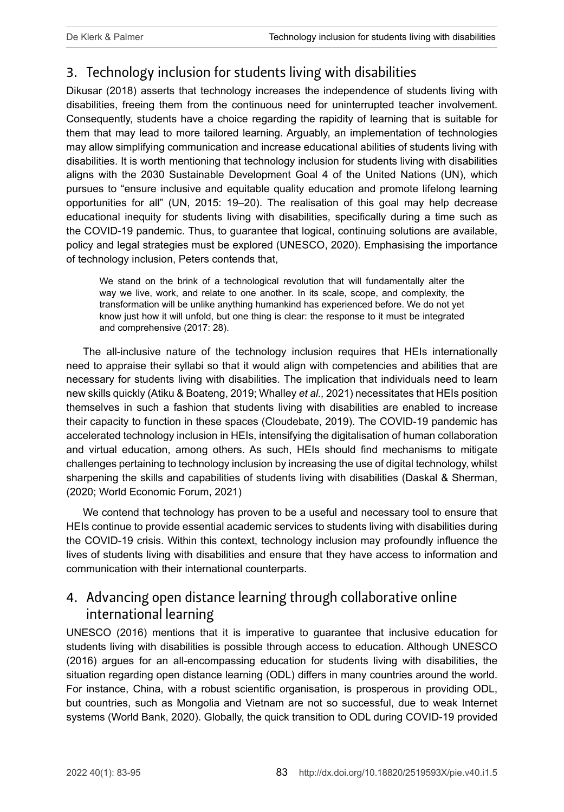# 3. Technology inclusion for students living with disabilities

Dikusar (2018) asserts that technology increases the independence of students living with disabilities, freeing them from the continuous need for uninterrupted teacher involvement. Consequently, students have a choice regarding the rapidity of learning that is suitable for them that may lead to more tailored learning. Arguably, an implementation of technologies may allow simplifying communication and increase educational abilities of students living with disabilities. It is worth mentioning that technology inclusion for students living with disabilities aligns with the 2030 Sustainable Development Goal 4 of the United Nations (UN), which pursues to "ensure inclusive and equitable quality education and promote lifelong learning opportunities for all" (UN, 2015: 19–20). The realisation of this goal may help decrease educational inequity for students living with disabilities, specifically during a time such as the COVID-19 pandemic. Thus, to guarantee that logical, continuing solutions are available, policy and legal strategies must be explored (UNESCO, 2020). Emphasising the importance of technology inclusion, Peters contends that,

We stand on the brink of a technological revolution that will fundamentally alter the way we live, work, and relate to one another. In its scale, scope, and complexity, the transformation will be unlike anything humankind has experienced before. We do not yet know just how it will unfold, but one thing is clear: the response to it must be integrated and comprehensive (2017: 28).

The all-inclusive nature of the technology inclusion requires that HEIs internationally need to appraise their syllabi so that it would align with competencies and abilities that are necessary for students living with disabilities. The implication that individuals need to learn new skills quickly (Atiku & Boateng, 2019; Whalley *et al.,* 2021) necessitates that HEIs position themselves in such a fashion that students living with disabilities are enabled to increase their capacity to function in these spaces (Cloudebate, 2019). The COVID-19 pandemic has accelerated technology inclusion in HEIs, intensifying the digitalisation of human collaboration and virtual education, among others. As such, HEIs should find mechanisms to mitigate challenges pertaining to technology inclusion by increasing the use of digital technology, whilst sharpening the skills and capabilities of students living with disabilities (Daskal & Sherman, (2020; World Economic Forum, 2021)

We contend that technology has proven to be a useful and necessary tool to ensure that HEIs continue to provide essential academic services to students living with disabilities during the COVID-19 crisis. Within this context, technology inclusion may profoundly influence the lives of students living with disabilities and ensure that they have access to information and communication with their international counterparts.

# 4. Advancing open distance learning through collaborative online international learning

UNESCO (2016) mentions that it is imperative to guarantee that inclusive education for students living with disabilities is possible through access to education. Although UNESCO (2016) argues for an all-encompassing education for students living with disabilities, the situation regarding open distance learning (ODL) differs in many countries around the world. For instance, China, with a robust scientific organisation, is prosperous in providing ODL, but countries, such as Mongolia and Vietnam are not so successful, due to weak Internet systems (World Bank, 2020). Globally, the quick transition to ODL during COVID-19 provided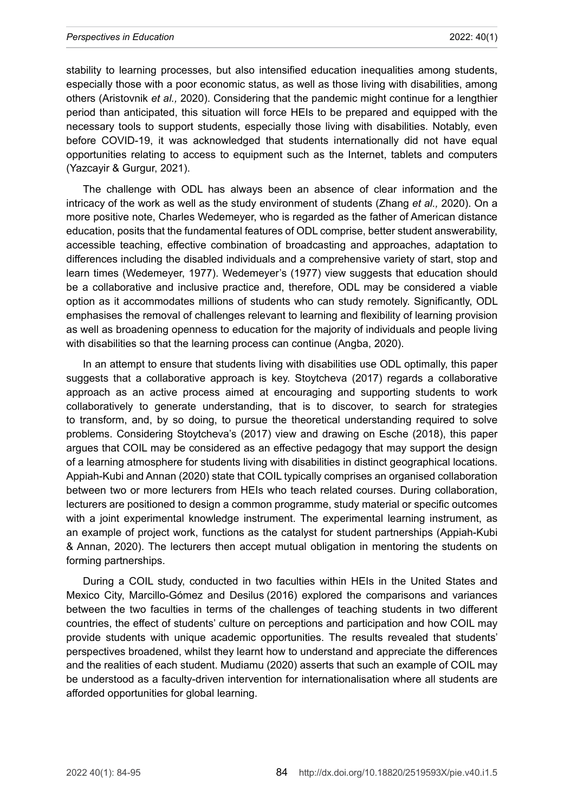stability to learning processes, but also intensified education inequalities among students, especially those with a poor economic status, as well as those living with disabilities, among others (Aristovnik *et al.,* 2020). Considering that the pandemic might continue for a lengthier period than anticipated, this situation will force HEIs to be prepared and equipped with the necessary tools to support students, especially those living with disabilities. Notably, even before COVID-19, it was acknowledged that students internationally did not have equal opportunities relating to access to equipment such as the Internet, tablets and computers (Yazcayir & Gurgur, 2021).

The challenge with ODL has always been an absence of clear information and the intricacy of the work as well as the study environment of students (Zhang *et al.,* 2020). On a more positive note, Charles Wedemeyer, who is regarded as the father of American distance education, posits that the fundamental features of ODL comprise, better student answerability, accessible teaching, effective combination of broadcasting and approaches, adaptation to differences including the disabled individuals and a comprehensive variety of start, stop and learn times (Wedemeyer, 1977). Wedemeyer's (1977) view suggests that education should be a collaborative and inclusive practice and, therefore, ODL may be considered a viable option as it accommodates millions of students who can study remotely. Significantly, ODL emphasises the removal of challenges relevant to learning and flexibility of learning provision as well as broadening openness to education for the majority of individuals and people living with disabilities so that the learning process can continue (Angba, 2020).

In an attempt to ensure that students living with disabilities use ODL optimally, this paper suggests that a collaborative approach is key. Stoytcheva (2017) regards a collaborative approach as an active process aimed at encouraging and supporting students to work collaboratively to generate understanding, that is to discover, to search for strategies to transform, and, by so doing, to pursue the theoretical understanding required to solve problems. Considering Stoytcheva's (2017) view and drawing on Esche (2018), this paper argues that COIL may be considered as an effective pedagogy that may support the design of a learning atmosphere for students living with disabilities in distinct geographical locations. Appiah-Kubi and Annan (2020) state that COIL typically comprises an organised collaboration between two or more lecturers from HEIs who teach related courses. During collaboration, lecturers are positioned to design a common programme, study material or specific outcomes with a joint experimental knowledge instrument. The experimental learning instrument, as an example of project work, functions as the catalyst for student partnerships (Appiah-Kubi & Annan, 2020). The lecturers then accept mutual obligation in mentoring the students on forming partnerships.

During a COIL study, conducted in two faculties within HEIs in the United States and Mexico City, Marcillo-Gómez and Desilus (2016) explored the comparisons and variances between the two faculties in terms of the challenges of teaching students in two different countries, the effect of students' culture on perceptions and participation and how COIL may provide students with unique academic opportunities. The results revealed that students' perspectives broadened, whilst they learnt how to understand and appreciate the differences and the realities of each student. Mudiamu (2020) asserts that such an example of COIL may be understood as a faculty-driven intervention for internationalisation where all students are afforded opportunities for global learning.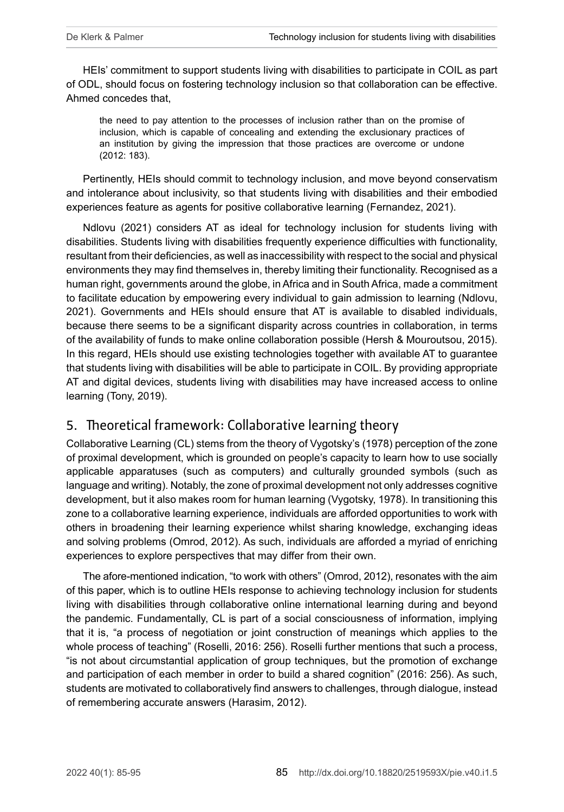HEIs' commitment to support students living with disabilities to participate in COIL as part of ODL, should focus on fostering technology inclusion so that collaboration can be effective. Ahmed concedes that,

the need to pay attention to the processes of inclusion rather than on the promise of inclusion, which is capable of concealing and extending the exclusionary practices of an institution by giving the impression that those practices are overcome or undone (2012: 183).

Pertinently, HEIs should commit to technology inclusion, and move beyond conservatism and intolerance about inclusivity, so that students living with disabilities and their embodied experiences feature as agents for positive collaborative learning (Fernandez, 2021).

Ndlovu (2021) considers AT as ideal for technology inclusion for students living with disabilities. Students living with disabilities frequently experience difficulties with functionality, resultant from their deficiencies, as well as inaccessibility with respect to the social and physical environments they may find themselves in, thereby limiting their functionality. Recognised as a human right, governments around the globe, in Africa and in South Africa, made a commitment to facilitate education by empowering every individual to gain admission to learning (Ndlovu, 2021). Governments and HEIs should ensure that AT is available to disabled individuals, because there seems to be a significant disparity across countries in collaboration, in terms of the availability of funds to make online collaboration possible (Hersh & Mouroutsou, 2015). In this regard, HEIs should use existing technologies together with available AT to guarantee that students living with disabilities will be able to participate in COIL. By providing appropriate AT and digital devices, students living with disabilities may have increased access to online learning (Tony, 2019).

#### 5. Theoretical framework: Collaborative learning theory

Collaborative Learning (CL) stems from the theory of Vygotsky's (1978) perception of the zone of proximal development, which is grounded on people's capacity to learn how to use socially applicable apparatuses (such as computers) and culturally grounded symbols (such as language and writing). Notably, the zone of proximal development not only addresses cognitive development, but it also makes room for human learning (Vygotsky, 1978). In transitioning this zone to a collaborative learning experience, individuals are afforded opportunities to work with others in broadening their learning experience whilst sharing knowledge, exchanging ideas and solving problems (Omrod, 2012). As such, individuals are afforded a myriad of enriching experiences to explore perspectives that may differ from their own.

The afore-mentioned indication, "to work with others" (Omrod, 2012), resonates with the aim of this paper, which is to outline HEIs response to achieving technology inclusion for students living with disabilities through collaborative online international learning during and beyond the pandemic. Fundamentally, CL is part of a social consciousness of information, implying that it is, "a process of negotiation or joint construction of meanings which applies to the whole process of teaching" (Roselli, 2016: 256). Roselli further mentions that such a process, "is not about circumstantial application of group techniques, but the promotion of exchange and participation of each member in order to build a shared cognition" (2016: 256). As such, students are motivated to collaboratively find answers to challenges, through dialogue, instead of remembering accurate answers (Harasim, 2012).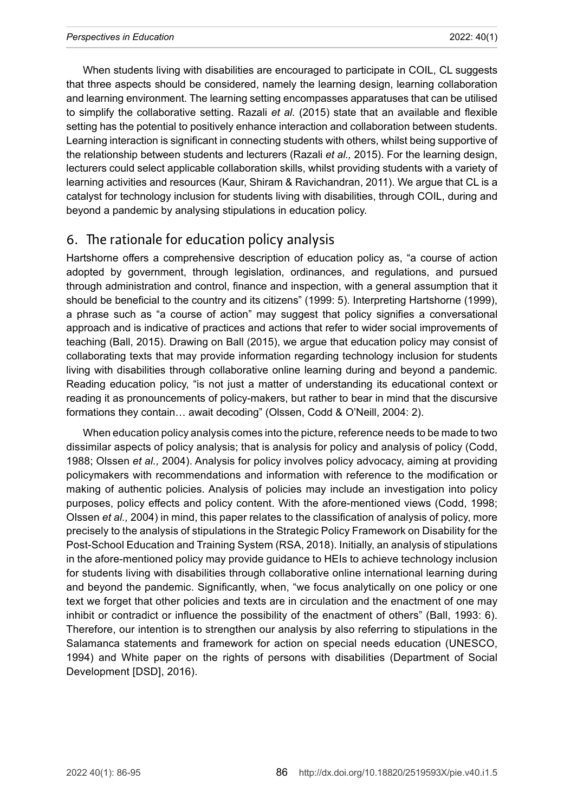When students living with disabilities are encouraged to participate in COIL, CL suggests that three aspects should be considered, namely the learning design, learning collaboration and learning environment. The learning setting encompasses apparatuses that can be utilised to simplify the collaborative setting. Razali *et al.* (2015) state that an available and flexible setting has the potential to positively enhance interaction and collaboration between students. Learning interaction is significant in connecting students with others, whilst being supportive of the relationship between students and lecturers (Razali *et al.,* 2015). For the learning design, lecturers could select applicable collaboration skills, whilst providing students with a variety of learning activities and resources (Kaur, Shiram & Ravichandran, 2011). We argue that CL is a catalyst for technology inclusion for students living with disabilities, through COIL, during and beyond a pandemic by analysing stipulations in education policy.

#### 6. The rationale for education policy analysis

Hartshorne offers a comprehensive description of education policy as, "a course of action adopted by government, through legislation, ordinances, and regulations, and pursued through administration and control, finance and inspection, with a general assumption that it should be beneficial to the country and its citizens" (1999: 5). Interpreting Hartshorne (1999), a phrase such as "a course of action" may suggest that policy signifies a conversational approach and is indicative of practices and actions that refer to wider social improvements of teaching (Ball, 2015). Drawing on Ball (2015), we argue that education policy may consist of collaborating texts that may provide information regarding technology inclusion for students living with disabilities through collaborative online learning during and beyond a pandemic. Reading education policy, "is not just a matter of understanding its educational context or reading it as pronouncements of policy-makers, but rather to bear in mind that the discursive formations they contain… await decoding" (Olssen, Codd & O'Neill, 2004: 2).

When education policy analysis comes into the picture, reference needs to be made to two dissimilar aspects of policy analysis; that is analysis for policy and analysis of policy (Codd, 1988; Olssen *et al.,* 2004). Analysis for policy involves policy advocacy, aiming at providing policymakers with recommendations and information with reference to the modification or making of authentic policies. Analysis of policies may include an investigation into policy purposes, policy effects and policy content. With the afore-mentioned views (Codd, 1998; Olssen *et al.,* 2004) in mind, this paper relates to the classification of analysis of policy, more precisely to the analysis of stipulations in the Strategic Policy Framework on Disability for the Post-School Education and Training System (RSA, 2018). Initially, an analysis of stipulations in the afore-mentioned policy may provide guidance to HEIs to achieve technology inclusion for students living with disabilities through collaborative online international learning during and beyond the pandemic. Significantly, when, "we focus analytically on one policy or one text we forget that other policies and texts are in circulation and the enactment of one may inhibit or contradict or influence the possibility of the enactment of others" (Ball, 1993: 6). Therefore, our intention is to strengthen our analysis by also referring to stipulations in the Salamanca statements and framework for action on special needs education (UNESCO, 1994) and White paper on the rights of persons with disabilities (Department of Social Development [DSD], 2016).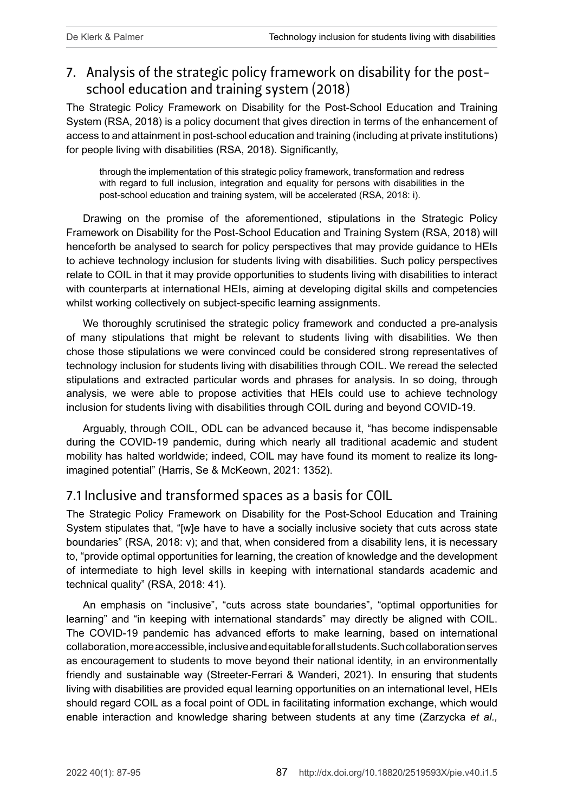# 7. Analysis of the strategic policy framework on disability for the postschool education and training system (2018)

The Strategic Policy Framework on Disability for the Post-School Education and Training System (RSA, 2018) is a policy document that gives direction in terms of the enhancement of access to and attainment in post-school education and training (including at private institutions) for people living with disabilities (RSA, 2018). Significantly,

through the implementation of this strategic policy framework, transformation and redress with regard to full inclusion, integration and equality for persons with disabilities in the post-school education and training system, will be accelerated (RSA, 2018: i).

Drawing on the promise of the aforementioned, stipulations in the Strategic Policy Framework on Disability for the Post-School Education and Training System (RSA, 2018) will henceforth be analysed to search for policy perspectives that may provide guidance to HEIs to achieve technology inclusion for students living with disabilities. Such policy perspectives relate to COIL in that it may provide opportunities to students living with disabilities to interact with counterparts at international HEIs, aiming at developing digital skills and competencies whilst working collectively on subject-specific learning assignments.

We thoroughly scrutinised the strategic policy framework and conducted a pre-analysis of many stipulations that might be relevant to students living with disabilities. We then chose those stipulations we were convinced could be considered strong representatives of technology inclusion for students living with disabilities through COIL. We reread the selected stipulations and extracted particular words and phrases for analysis. In so doing, through analysis, we were able to propose activities that HEIs could use to achieve technology inclusion for students living with disabilities through COIL during and beyond COVID-19.

Arguably, through COIL, ODL can be advanced because it, "has become indispensable during the COVID-19 pandemic, during which nearly all traditional academic and student mobility has halted worldwide; indeed, COIL may have found its moment to realize its longimagined potential" (Harris, Se & McKeown, 2021: 1352).

#### 7.1 Inclusive and transformed spaces as a basis for COIL

The Strategic Policy Framework on Disability for the Post-School Education and Training System stipulates that, "[w]e have to have a socially inclusive society that cuts across state boundaries" (RSA, 2018: v); and that, when considered from a disability lens, it is necessary to, "provide optimal opportunities for learning, the creation of knowledge and the development of intermediate to high level skills in keeping with international standards academic and technical quality" (RSA, 2018: 41).

An emphasis on "inclusive", "cuts across state boundaries", "optimal opportunities for learning" and "in keeping with international standards" may directly be aligned with COIL. The COVID-19 pandemic has advanced efforts to make learning, based on international collaboration, more accessible, inclusive and equitable for all students. Such collaboration serves as encouragement to students to move beyond their national identity, in an environmentally friendly and sustainable way (Streeter-Ferrari & Wanderi, 2021). In ensuring that students living with disabilities are provided equal learning opportunities on an international level, HEIs should regard COIL as a focal point of ODL in facilitating information exchange, which would enable interaction and knowledge sharing between students at any time (Zarzycka *et al.,*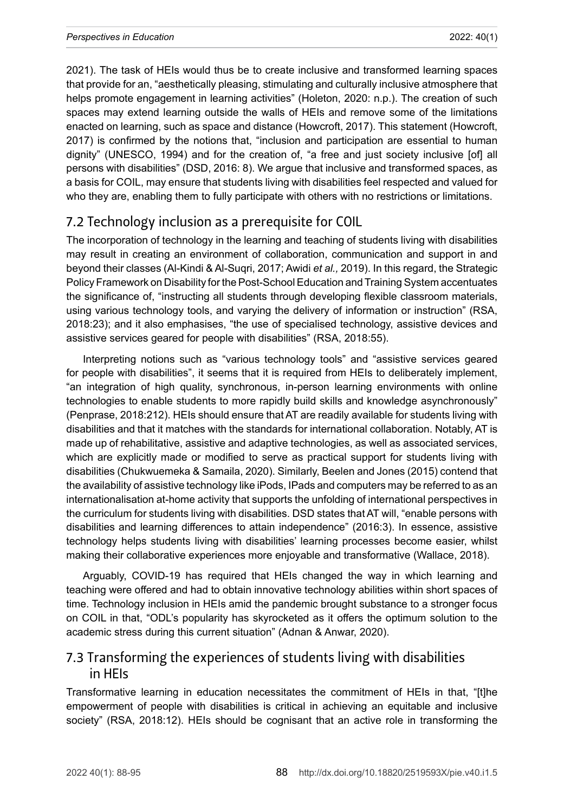2021). The task of HEIs would thus be to create inclusive and transformed learning spaces that provide for an, "aesthetically pleasing, stimulating and culturally inclusive atmosphere that helps promote engagement in learning activities" (Holeton, 2020: n.p.). The creation of such spaces may extend learning outside the walls of HEIs and remove some of the limitations enacted on learning, such as space and distance (Howcroft, 2017). This statement (Howcroft, 2017) is confirmed by the notions that, "inclusion and participation are essential to human dignity" (UNESCO, 1994) and for the creation of, "a free and just society inclusive [of] all persons with disabilities" (DSD, 2016: 8). We argue that inclusive and transformed spaces, as a basis for COIL, may ensure that students living with disabilities feel respected and valued for who they are, enabling them to fully participate with others with no restrictions or limitations.

# 7.2 Technology inclusion as a prerequisite for COIL

The incorporation of technology in the learning and teaching of students living with disabilities may result in creating an environment of collaboration, communication and support in and beyond their classes (Al-Kindi & Al-Suqri, 2017; Awidi *et al.,* 2019). In this regard, the Strategic Policy Framework on Disability for the Post-School Education and Training System accentuates the significance of, "instructing all students through developing flexible classroom materials, using various technology tools, and varying the delivery of information or instruction" (RSA, 2018:23); and it also emphasises, "the use of specialised technology, assistive devices and assistive services geared for people with disabilities" (RSA, 2018:55).

Interpreting notions such as "various technology tools" and "assistive services geared for people with disabilities", it seems that it is required from HEIs to deliberately implement, "an integration of high quality, synchronous, in-person learning environments with online technologies to enable students to more rapidly build skills and knowledge asynchronously" (Penprase, 2018:212). HEIs should ensure that AT are readily available for students living with disabilities and that it matches with the standards for international collaboration. Notably, AT is made up of rehabilitative, assistive and adaptive technologies, as well as associated services, which are explicitly made or modified to serve as practical support for students living with disabilities (Chukwuemeka & Samaila, 2020). Similarly, Beelen and Jones (2015) contend that the availability of assistive technology like iPods, IPads and computers may be referred to as an internationalisation at-home activity that supports the unfolding of international perspectives in the curriculum for students living with disabilities. DSD states that AT will, "enable persons with disabilities and learning differences to attain independence" (2016:3). In essence, assistive technology helps students living with disabilities' learning processes become easier, whilst making their collaborative experiences more enjoyable and transformative (Wallace, 2018).

Arguably, COVID-19 has required that HEIs changed the way in which learning and teaching were offered and had to obtain innovative technology abilities within short spaces of time. Technology inclusion in HEIs amid the pandemic brought substance to a stronger focus on COIL in that, "ODL's popularity has skyrocketed as it offers the optimum solution to the academic stress during this current situation" (Adnan & Anwar, 2020).

### 7.3 Transforming the experiences of students living with disabilities in HEIs

Transformative learning in education necessitates the commitment of HEIs in that, "[t]he empowerment of people with disabilities is critical in achieving an equitable and inclusive society" (RSA, 2018:12). HEIs should be cognisant that an active role in transforming the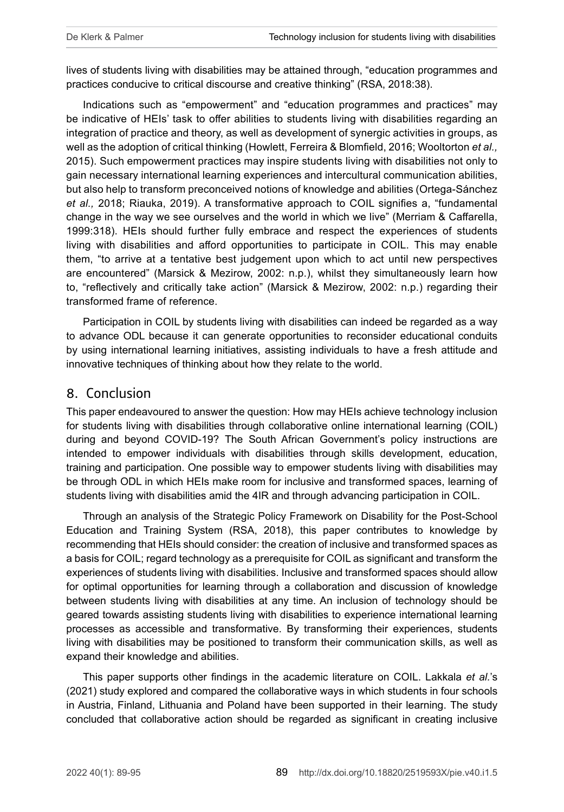lives of students living with disabilities may be attained through, "education programmes and practices conducive to critical discourse and creative thinking" (RSA, 2018:38).

Indications such as "empowerment" and "education programmes and practices" may be indicative of HEIs' task to offer abilities to students living with disabilities regarding an integration of practice and theory, as well as development of synergic activities in groups, as well as the adoption of critical thinking (Howlett, Ferreira & Blomfield, 2016; Wooltorton *et al.,* 2015). Such empowerment practices may inspire students living with disabilities not only to gain necessary international learning experiences and intercultural communication abilities, but also help to transform preconceived notions of knowledge and abilities (Ortega-Sánchez *et al.,* 2018; Riauka, 2019). A transformative approach to COIL signifies a, "fundamental change in the way we see ourselves and the world in which we live" (Merriam & Caffarella, 1999:318). HEIs should further fully embrace and respect the experiences of students living with disabilities and afford opportunities to participate in COIL. This may enable them, "to arrive at a tentative best judgement upon which to act until new perspectives are encountered" (Marsick & Mezirow, 2002: n.p.), whilst they simultaneously learn how to, "reflectively and critically take action" (Marsick & Mezirow, 2002: n.p.) regarding their transformed frame of reference.

Participation in COIL by students living with disabilities can indeed be regarded as a way to advance ODL because it can generate opportunities to reconsider educational conduits by using international learning initiatives, assisting individuals to have a fresh attitude and innovative techniques of thinking about how they relate to the world.

#### 8. Conclusion

This paper endeavoured to answer the question: How may HEIs achieve technology inclusion for students living with disabilities through collaborative online international learning (COIL) during and beyond COVID-19? The South African Government's policy instructions are intended to empower individuals with disabilities through skills development, education, training and participation. One possible way to empower students living with disabilities may be through ODL in which HEIs make room for inclusive and transformed spaces, learning of students living with disabilities amid the 4IR and through advancing participation in COIL.

Through an analysis of the Strategic Policy Framework on Disability for the Post-School Education and Training System (RSA, 2018), this paper contributes to knowledge by recommending that HEIs should consider: the creation of inclusive and transformed spaces as a basis for COIL; regard technology as a prerequisite for COIL as significant and transform the experiences of students living with disabilities. Inclusive and transformed spaces should allow for optimal opportunities for learning through a collaboration and discussion of knowledge between students living with disabilities at any time. An inclusion of technology should be geared towards assisting students living with disabilities to experience international learning processes as accessible and transformative. By transforming their experiences, students living with disabilities may be positioned to transform their communication skills, as well as expand their knowledge and abilities.

This paper supports other findings in the academic literature on COIL. Lakkala *et al.*'s (2021) study explored and compared the collaborative ways in which students in four schools in Austria, Finland, Lithuania and Poland have been supported in their learning. The study concluded that collaborative action should be regarded as significant in creating inclusive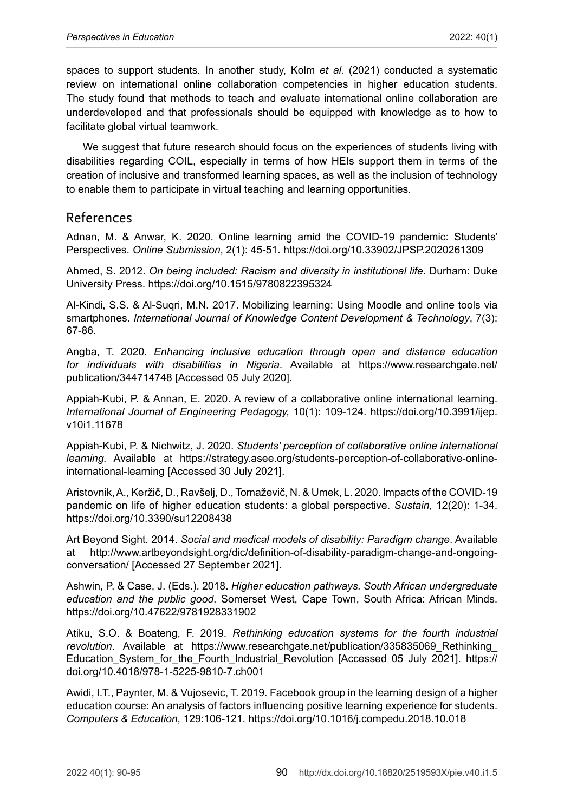spaces to support students. In another study, Kolm *et al.* (2021) conducted a systematic review on international online collaboration competencies in higher education students. The study found that methods to teach and evaluate international online collaboration are underdeveloped and that professionals should be equipped with knowledge as to how to facilitate global virtual teamwork.

We suggest that future research should focus on the experiences of students living with disabilities regarding COIL, especially in terms of how HEIs support them in terms of the creation of inclusive and transformed learning spaces, as well as the inclusion of technology to enable them to participate in virtual teaching and learning opportunities.

#### References

Adnan, M. & Anwar, K. 2020. Online learning amid the COVID-19 pandemic: Students' Perspectives. *Online Submission*, 2(1): 45-51.<https://doi.org/10.33902/JPSP.2020261309>

Ahmed, S. 2012. *On being included: Racism and diversity in institutional life*. Durham: Duke University Press. <https://doi.org/10.1515/9780822395324>

Al-Kindi, S.S. & Al-Suqri, M.N. 2017. Mobilizing learning: Using Moodle and online tools via smartphones. *International Journal of Knowledge Content Development & Technology*, 7(3): 67-86.

Angba, T. 2020. *Enhancing inclusive education through open and distance education for individuals with disabilities in Nigeria*. Available at [https://www.researchgate.net/](https://www.researchgate.net/publication/344714748) [publication/344714748](https://www.researchgate.net/publication/344714748) [Accessed 05 July 2020].

Appiah-Kubi, P. & Annan, E. 2020. A review of a collaborative online international learning. *International Journal of Engineering Pedagogy,* 10(1): 109-124. [https://doi.org/10.3991/ijep.](https://doi.org/10.3991/ijep.v10i1.11678) [v10i1.11678](https://doi.org/10.3991/ijep.v10i1.11678)

Appiah-Kubi, P. & Nichwitz, J. 2020. *Students' perception of collaborative online international learning.* Available at [https://strategy.asee.org/students-perception-of-collaborative-online](https://strategy.asee.org/students-perception-of-collaborative-online-international-learning)[international-learning](https://strategy.asee.org/students-perception-of-collaborative-online-international-learning) [Accessed 30 July 2021].

Aristovnik, A., Keržič, D., Ravšelj, D., Tomaževič, N. & Umek, L. 2020. Impacts of the COVID-19 pandemic on life of higher education students: a global perspective. *Sustain*, 12(20): 1-34. <https://doi.org/10.3390/su12208438>

Art Beyond Sight. 2014. *Social and medical models of disability: Paradigm change*. Available at [http://www.artbeyondsight.org/dic/definition-of-disability-paradigm-change-and-ongoing](http://www.artbeyondsight.org/dic/definition-of-disability-paradigm-change-and-ongoing-conversation/)[conversation/](http://www.artbeyondsight.org/dic/definition-of-disability-paradigm-change-and-ongoing-conversation/) [Accessed 27 September 2021].

Ashwin, P. & Case, J. (Eds.). 2018. *Higher education pathways. South African undergraduate education and the public good*. Somerset West, Cape Town, South Africa: African Minds. <https://doi.org/10.47622/9781928331902>

Atiku, S.O. & Boateng, F. 2019. *Rethinking education systems for the fourth industrial revolution*. Available at [https://www.researchgate.net/publication/335835069\\_Rethinking\\_](https://www.researchgate.net/publication/335835069_Rethinking_Education_System_for_the_Fourth_Industrial_Revolution) Education System for the Fourth\_Industrial\_Revolution [Accessed 05 July 2021]. [https://](https://doi.org/10.4018/978-1-5225-9810-7.ch001) [doi.org/10.4018/978-1-5225-9810-7.ch001](https://doi.org/10.4018/978-1-5225-9810-7.ch001)

Awidi, I.T., Paynter, M. & Vujosevic, T. 2019. Facebook group in the learning design of a higher education course: An analysis of factors influencing positive learning experience for students. *Computers & Education*, 129:106-121.<https://doi.org/10.1016/j.compedu.2018.10.018>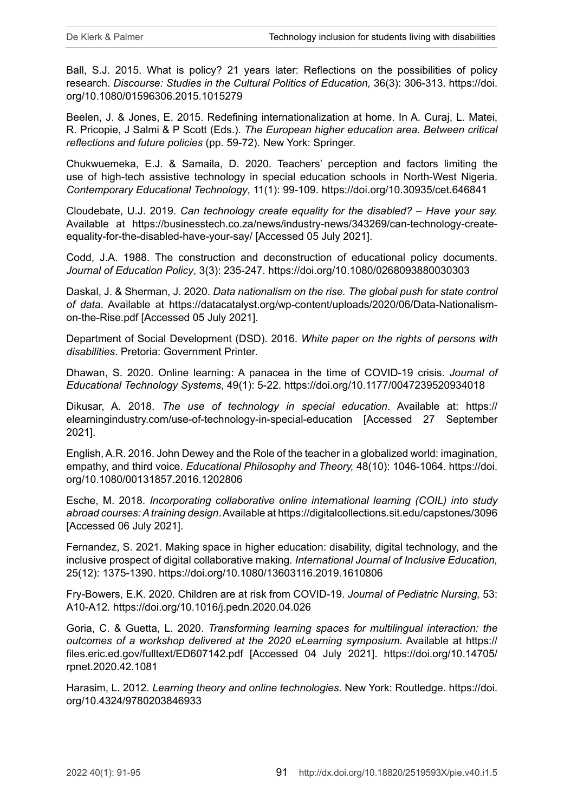Ball, S.J. 2015. What is policy? 21 years later: Reflections on the possibilities of policy research. *Discourse: Studies in the Cultural Politics of Education,* 36(3): 306-313. [https://doi.](https://doi.org/10.1080/01596306.2015.1015279) [org/10.1080/01596306.2015.1015279](https://doi.org/10.1080/01596306.2015.1015279)

Beelen, J. & Jones, E. 2015. Redefining internationalization at home. In A. Curaj, L. Matei, R. Pricopie, J Salmi & P Scott (Eds.). *The European higher education area. Between critical reflections and future policies* (pp. 59-72). New York: Springer.

Chukwuemeka, E.J. & Samaila, D. 2020. Teachers' perception and factors limiting the use of high-tech assistive technology in special education schools in North-West Nigeria. *Contemporary Educational Technology*, 11(1): 99-109. <https://doi.org/10.30935/cet.646841>

Cloudebate, U.J. 2019. *Can technology create equality for the disabled? – Have your say.*  Available at [https://businesstech.co.za/news/industry-news/343269/can-technology-create](https://businesstech.co.za/news/industry-news/343269/can-technology-create-equality-for-the-disabled-have-your-say/)[equality-for-the-disabled-have-your-say/](https://businesstech.co.za/news/industry-news/343269/can-technology-create-equality-for-the-disabled-have-your-say/) [Accessed 05 July 2021].

Codd, J.A. 1988. The construction and deconstruction of educational policy documents. *Journal of Education Policy*, 3(3): 235-247.<https://doi.org/10.1080/0268093880030303>

Daskal, J. & Sherman, J. 2020. *Data nationalism on the rise. The global push for state control of data*. Available at [https://datacatalyst.org/wp-content/uploads/2020/06/Data-Nationalism](https://datacatalyst.org/wp-content/uploads/2020/06/Data-Nationalism-on-the-Rise.pdf)[on-the-Rise.pdf](https://datacatalyst.org/wp-content/uploads/2020/06/Data-Nationalism-on-the-Rise.pdf) [Accessed 05 July 2021].

Department of Social Development (DSD). 2016. *White paper on the rights of persons with disabilities*. Pretoria: Government Printer.

Dhawan, S. 2020. Online learning: A panacea in the time of COVID-19 crisis. *Journal of Educational Technology Systems*, 49(1): 5-22. <https://doi.org/10.1177/0047239520934018>

Dikusar, A. 2018. *The use of technology in special education*. Available at: [https://](https://elearningindustry.com/use-of-technology-in-special-education) [elearningindustry.com/use-of-technology-in-special-education](https://elearningindustry.com/use-of-technology-in-special-education) [Accessed 27 September 2021].

English, A.R. 2016. John Dewey and the Role of the teacher in a globalized world: imagination, empathy, and third voice. *Educational Philosophy and Theory,* 48(10): 1046-1064. [https://doi.](https://doi.org/10.1080/00131857.2016.1202806) [org/10.1080/00131857.2016.1202806](https://doi.org/10.1080/00131857.2016.1202806)

Esche, M. 2018. *Incorporating collaborative online international learning (COIL) into study abroad courses: A training design*. Available at<https://digitalcollections.sit.edu/capstones/3096> [Accessed 06 July 2021].

Fernandez, S. 2021. Making space in higher education: disability, digital technology, and the inclusive prospect of digital collaborative making. *International Journal of Inclusive Education,*  25(12): 1375-1390. <https://doi.org/10.1080/13603116.2019.1610806>

Fry-Bowers, E.K. 2020. Children are at risk from COVID-19. *Journal of Pediatric Nursing,* 53: A10-A12. <https://doi.org/10.1016/j.pedn.2020.04.026>

Goria, C. & Guetta, L. 2020. *Transforming learning spaces for multilingual interaction: the outcomes of a workshop delivered at the 2020 eLearning symposium*. Available at [https://](https://files.eric.ed.gov/fulltext/ED607142.pdf) [files.eric.ed.gov/fulltext/ED607142.pdf](https://files.eric.ed.gov/fulltext/ED607142.pdf) [Accessed 04 July 2021]. [https://doi.org/10.14705/](https://doi.org/10.14705/rpnet.2020.42.1081) [rpnet.2020.42.1081](https://doi.org/10.14705/rpnet.2020.42.1081)

Harasim, L. 2012. *Learning theory and online technologies.* New York: Routledge. [https://doi.](https://doi.org/10.4324/9780203846933) [org/10.4324/9780203846933](https://doi.org/10.4324/9780203846933)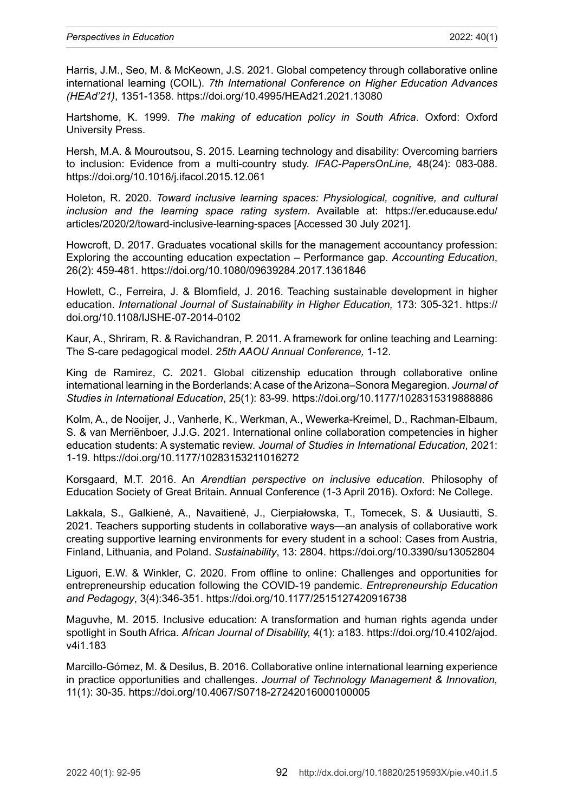Harris, J.M., Seo, M. & McKeown, J.S. 2021. Global competency through collaborative online international learning (COIL). *7th International Conference on Higher Education Advances (HEAd'21)*, 1351-1358.<https://doi.org/10.4995/HEAd21.2021.13080>

Hartshorne, K. 1999. *The making of education policy in South Africa*. Oxford: Oxford University Press.

Hersh, M.A. & Mouroutsou, S. 2015. Learning technology and disability: Overcoming barriers to inclusion: Evidence from a multi-country study. *IFAC-PapersOnLine,* 48(24): 083-088. <https://doi.org/10.1016/j.ifacol.2015.12.061>

Holeton, R. 2020. *Toward inclusive learning spaces: Physiological, cognitive, and cultural inclusion and the learning space rating system*. Available at: [https://er.educause.edu/](https://er.educause.edu/articles/2020/2/toward-inclusive-learning-spaces) [articles/2020/2/toward-inclusive-learning-spaces](https://er.educause.edu/articles/2020/2/toward-inclusive-learning-spaces) [Accessed 30 July 2021].

Howcroft, D. 2017. Graduates vocational skills for the management accountancy profession: Exploring the accounting education expectation – Performance gap. *Accounting Education*, 26(2): 459-481. <https://doi.org/10.1080/09639284.2017.1361846>

Howlett, C., Ferreira, J. & Blomfield, J. 2016. Teaching sustainable development in higher education. International Journal of Sustainability in Higher Education, 173: 305-321. [https://](https://doi.org/10.1108/IJSHE-07-2014-0102) [doi.org/10.1108/IJSHE-07-2014-0102](https://doi.org/10.1108/IJSHE-07-2014-0102)

Kaur, A., Shriram, R. & Ravichandran, P. 2011. A framework for online teaching and Learning: The S-care pedagogical model. *25th AAOU Annual Conference,* 1-12.

King de Ramirez, C. 2021. Global citizenship education through collaborative online international learning in the Borderlands: A case of the Arizona–Sonora Megaregion. *Journal of Studies in International Education*, 25(1): 83-99. <https://doi.org/10.1177/1028315319888886>

Kolm, A., de Nooijer, J., Vanherle, K., Werkman, A., Wewerka-Kreimel, D., Rachman-Elbaum, S. & van Merriënboer, J.J.G. 2021. International online collaboration competencies in higher education students: A systematic review. *Journal of Studies in International Education*, 2021: 1-19. <https://doi.org/10.1177/10283153211016272>

Korsgaard, M.T. 2016. An *Arendtian perspective on inclusive education*. Philosophy of Education Society of Great Britain. Annual Conference (1-3 April 2016). Oxford: Ne College.

Lakkala, S., Galkienė, A., Navaitienė, J., Cierpiałowska, T., Tomecek, S. & Uusiautti, S. 2021. Teachers supporting students in collaborative ways—an analysis of collaborative work creating supportive learning environments for every student in a school: Cases from Austria, Finland, Lithuania, and Poland. *Sustainability*, 13: 2804.<https://doi.org/10.3390/su13052804>

Liguori, E.W. & Winkler, C. 2020. From offline to online: Challenges and opportunities for entrepreneurship education following the COVID-19 pandemic. *Entrepreneurship Education and Pedagogy*, 3(4):346-351.<https://doi.org/10.1177/2515127420916738>

Maguvhe, M. 2015. Inclusive education: A transformation and human rights agenda under spotlight in South Africa. *African Journal of Disability,* 4(1): a183. [https://doi.org/10.4102/ajod.](https://doi.org/10.4102/ajod.v4i1.183) [v4i1.183](https://doi.org/10.4102/ajod.v4i1.183)

Marcillo-Gómez, M. & Desilus, B. 2016. Collaborative online international learning experience in practice opportunities and challenges. *Journal of Technology Management & Innovation,*  11(1): 30-35.<https://doi.org/10.4067/S0718-27242016000100005>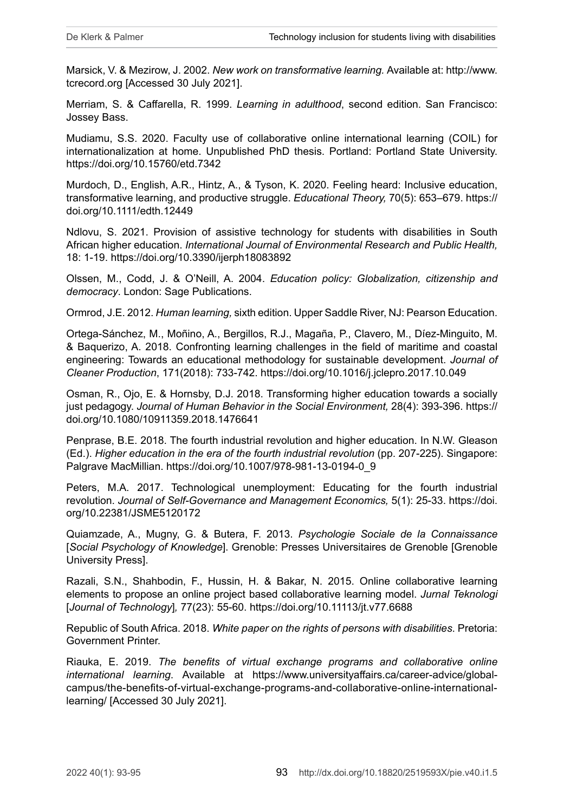Marsick, V. & Mezirow, J. 2002. *New work on transformative learning.* Available at: [http://www.](http://www.tcrecord.org) [tcrecord.org](http://www.tcrecord.org) [Accessed 30 July 2021].

Merriam, S. & Caffarella, R. 1999. *Learning in adulthood*, second edition. San Francisco: Jossey Bass.

Mudiamu, S.S. 2020. Faculty use of collaborative online international learning (COIL) for internationalization at home. Unpublished PhD thesis. Portland: Portland State University. <https://doi.org/10.15760/etd.7342>

Murdoch, D., English, A.R., Hintz, A., & Tyson, K. 2020. Feeling heard: Inclusive education, transformative learning, and productive struggle. *Educational Theory,* 70(5): 653–679. [https://](https://doi.org/10.1111/edth.12449) [doi.org/10.1111/edth.12449](https://doi.org/10.1111/edth.12449)

Ndlovu, S. 2021. Provision of assistive technology for students with disabilities in South African higher education. *International Journal of Environmental Research and Public Health,*  18: 1-19. https://doi.org/10.3390/ijerph18083892

Olssen, M., Codd, J. & O'Neill, A. 2004. *Education policy: Globalization, citizenship and democracy*. London: Sage Publications.

Ormrod, J.E. 2012. *Human learning,* sixth edition. Upper Saddle River, NJ: Pearson Education.

Ortega-Sánchez, M., Moñino, A., Bergillos, R.J., Magaña, P., Clavero, M., Díez-Minguito, M. & Baquerizo, A. 2018. Confronting learning challenges in the field of maritime and coastal engineering: Towards an educational methodology for sustainable development. *Journal of Cleaner Production*, 171(2018): 733-742. <https://doi.org/10.1016/j.jclepro.2017.10.049>

Osman, R., Ojo, E. & Hornsby, D.J. 2018. Transforming higher education towards a socially just pedagogy. *Journal of Human Behavior in the Social Environment,* 28(4): 393-396. [https://](https://doi.org/10.1080/10911359.2018.1476641) [doi.org/10.1080/10911359.2018.1476641](https://doi.org/10.1080/10911359.2018.1476641)

Penprase, B.E. 2018. The fourth industrial revolution and higher education. In N.W. Gleason (Ed.). *Higher education in the era of the fourth industrial revolution* (pp. 207-225). Singapore: Palgrave MacMillian. [https://doi.org/10.1007/978-981-13-0194-0\\_9](https://doi.org/10.1007/978-981-13-0194-0_9)

Peters, M.A. 2017. Technological unemployment: Educating for the fourth industrial revolution. *Journal of Self-Governance and Management Economics,* 5(1): 25-33. [https://doi.](https://doi.org/10.22381/JSME5120172) [org/10.22381/JSME5120172](https://doi.org/10.22381/JSME5120172)

Quiamzade, A., Mugny, G. & Butera, F. 2013. *Psychologie Sociale de la Connaissance* [*Social Psychology of Knowledge*]. Grenoble: Presses Universitaires de Grenoble [Grenoble University Press].

Razali, S.N., Shahbodin, F., Hussin, H. & Bakar, N. 2015. Online collaborative learning elements to propose an online project based collaborative learning model. *Jurnal Teknologi*  [*Journal of Technology*]*,* 77(23): 55-60.<https://doi.org/10.11113/jt.v77.6688>

Republic of South Africa. 2018. *White paper on the rights of persons with disabilities*. Pretoria: Government Printer.

Riauka, E. 2019. *The benefits of virtual exchange programs and collaborative online international learning*. Available at [https://www.universityaffairs.ca/career-advice/global](https://www.universityaffairs.ca/career-advice/global-campus/the-benefits-of-virtual-exchange-programs-and-collaborative-online-international-learning/)[campus/the-benefits-of-virtual-exchange-programs-and-collaborative-online-international](https://www.universityaffairs.ca/career-advice/global-campus/the-benefits-of-virtual-exchange-programs-and-collaborative-online-international-learning/)[learning/](https://www.universityaffairs.ca/career-advice/global-campus/the-benefits-of-virtual-exchange-programs-and-collaborative-online-international-learning/) [Accessed 30 July 2021].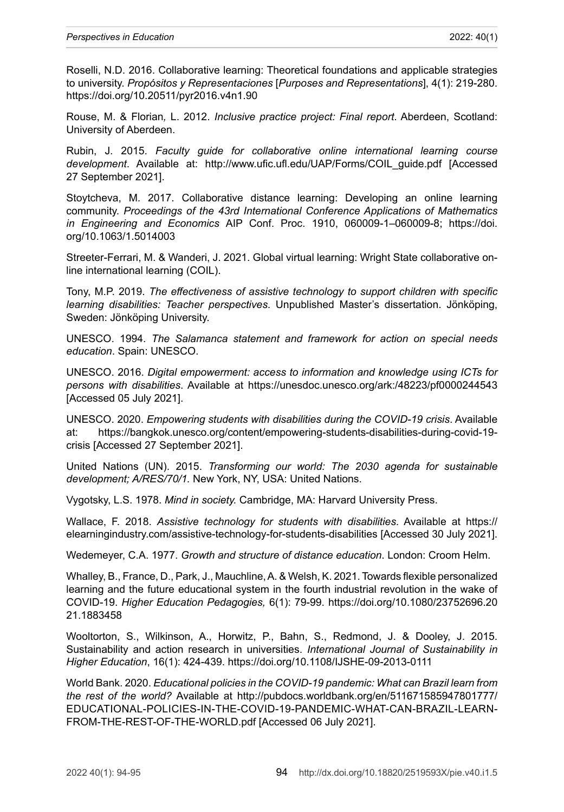Roselli, N.D. 2016. Collaborative learning: Theoretical foundations and applicable strategies to university. *Propósitos y Representaciones* [*Purposes and Representations*], 4(1): 219-280. <https://doi.org/10.20511/pyr2016.v4n1.90>

Rouse, M. & Florian*,* L. 2012. *Inclusive practice project: Final report*. Aberdeen, Scotland: University of Aberdeen.

Rubin, J. 2015. *Faculty guide for collaborative online international learning course development*. Available at: [http://www.ufic.ufl.edu/UAP/Forms/COIL\\_guide.pdf](http://www.ufic.ufl.edu/UAP/Forms/COIL_guide.pdf) [Accessed 27 September 2021].

Stoytcheva, M. 2017. Collaborative distance learning: Developing an online learning community. *Proceedings of the 43rd International Conference Applications of Mathematics in Engineering and Economics* AIP Conf. Proc. 1910, 060009-1–060009-8; [https://doi.](https://doi.org/10.1063/1.5014003) [org/10.1063/1.5014003](https://doi.org/10.1063/1.5014003) 

Streeter-Ferrari, M. & Wanderi, J. 2021. Global virtual learning: Wright State collaborative online international learning (COIL).

Tony, M.P. 2019. *The effectiveness of assistive technology to support children with specific learning disabilities: Teacher perspectives*. Unpublished Master's dissertation. Jönköping, Sweden: Jönköping University.

UNESCO. 1994. *The Salamanca statement and framework for action on special needs education*. Spain: UNESCO.

UNESCO. 2016. *Digital empowerment: access to information and knowledge using ICTs for persons with disabilities*. Available at [https://unesdoc.unesco.org/ark:/48223/pf0000244543](https://unesdoc.unesco.org/ark:/48223/pf0000244543 ) [Accessed 05 July 2021].

UNESCO. 2020. *Empowering students with disabilities during the COVID-19 crisis*. Available at: [https://bangkok.unesco.org/content/empowering-students-disabilities-during-covid-19](https://bangkok.unesco.org/content/empowering-students-disabilities-during-covid-19-crisis) [crisis](https://bangkok.unesco.org/content/empowering-students-disabilities-during-covid-19-crisis) [Accessed 27 September 2021].

United Nations (UN). 2015. *Transforming our world: The 2030 agenda for sustainable development; A/RES/70/1.* New York, NY, USA: United Nations.

Vygotsky, L.S. 1978. *Mind in society.* Cambridge, MA: Harvard University Press.

Wallace, F. 2018. *Assistive technology for students with disabilities*. Available at [https://](https://elearningindustry.com/assistive-technology-for-students-disabilities) [elearningindustry.com/assistive-technology-for-students-disabilities](https://elearningindustry.com/assistive-technology-for-students-disabilities) [Accessed 30 July 2021].

Wedemeyer, C.A. 1977. *Growth and structure of distance education*. London: Croom Helm.

Whalley, B., France, D., Park, J., Mauchline, A. & Welsh, K. 2021. Towards flexible personalized learning and the future educational system in the fourth industrial revolution in the wake of COVID-19. *Higher Education Pedagogies,* 6(1): 79-99. [https://doi.org/10.1080/23752696.20](https://doi.org/10.1080/23752696.2021.1883458) [21.1883458](https://doi.org/10.1080/23752696.2021.1883458)

Wooltorton, S., Wilkinson, A., Horwitz, P., Bahn, S., Redmond, J. & Dooley, J. 2015. Sustainability and action research in universities. *International Journal of Sustainability in Higher Education*, 16(1): 424-439. <https://doi.org/10.1108/IJSHE-09-2013-0111>

World Bank. 2020. *Educational policies in the COVID-19 pandemic: What can Brazil learn from the rest of the world?* Available at [http://pubdocs.worldbank.org/en/511671585947801777/](http://pubdocs.worldbank.org/en/511671585947801777/EDUCATIONAL-POLICIES-IN-THE-COVID-19-PANDEMIC-WHAT-CAN-BRAZIL-LEARN-FROM-THE-REST-OF-THE-WORLD.pdf) [EDUCATIONAL-POLICIES-IN-THE-COVID-19-PANDEMIC-WHAT-CAN-BRAZIL-LEARN-](http://pubdocs.worldbank.org/en/511671585947801777/EDUCATIONAL-POLICIES-IN-THE-COVID-19-PANDEMIC-WHAT-CAN-BRAZIL-LEARN-FROM-THE-REST-OF-THE-WORLD.pdf)[FROM-THE-REST-OF-THE-WORLD.pdf](http://pubdocs.worldbank.org/en/511671585947801777/EDUCATIONAL-POLICIES-IN-THE-COVID-19-PANDEMIC-WHAT-CAN-BRAZIL-LEARN-FROM-THE-REST-OF-THE-WORLD.pdf) [Accessed 06 July 2021].